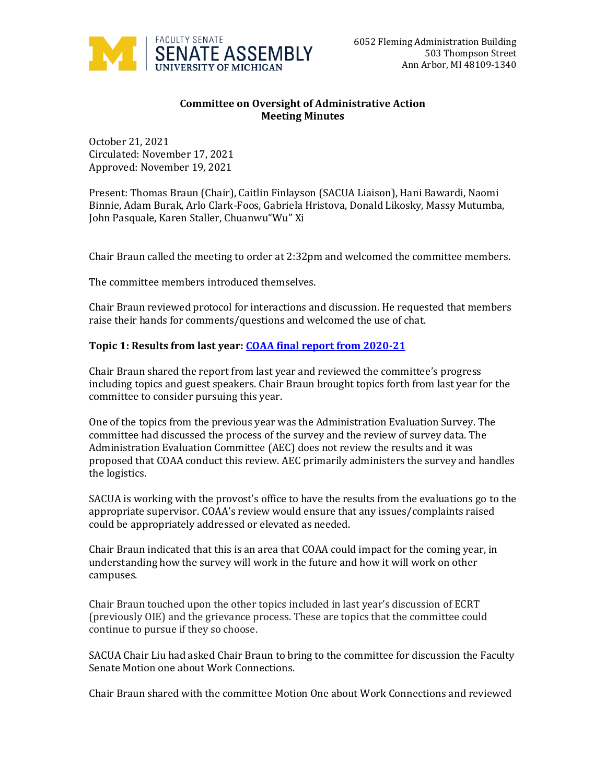

## **Committee on Oversight of Administrative Action Meeting Minutes**

October 21, 2021 Circulated: November 17, 2021 Approved: November 19, 2021

Present: Thomas Braun (Chair), Caitlin Finlayson (SACUA Liaison), Hani Bawardi, Naomi Binnie, Adam Burak, Arlo Clark-Foos, Gabriela Hristova, Donald Likosky, Massy Mutumba, John Pasquale, Karen Staller, Chuanwu"Wu" Xi

Chair Braun called the meeting to order at 2:32pm and welcomed the committee members.

The committee members introduced themselves.

Chair Braun reviewed protocol for interactions and discussion. He requested that members raise their hands for comments/questions and welcomed the use of chat.

## **Topic 1: Results from last year[: COAA final report from 2020-21](https://facultysenate.umich.edu/wp-content/uploads/2021/06/v2SACommittee-Report-COAA-20-21.pdf)**

Chair Braun shared the report from last year and reviewed the committee's progress including topics and guest speakers. Chair Braun brought topics forth from last year for the committee to consider pursuing this year.

One of the topics from the previous year was the Administration Evaluation Survey. The committee had discussed the process of the survey and the review of survey data. The Administration Evaluation Committee (AEC) does not review the results and it was proposed that COAA conduct this review. AEC primarily administers the survey and handles the logistics.

SACUA is working with the provost's office to have the results from the evaluations go to the appropriate supervisor. COAA's review would ensure that any issues/complaints raised could be appropriately addressed or elevated as needed.

Chair Braun indicated that this is an area that COAA could impact for the coming year, in understanding how the survey will work in the future and how it will work on other campuses.

Chair Braun touched upon the other topics included in last year's discussion of ECRT (previously OIE) and the grievance process. These are topics that the committee could continue to pursue if they so choose.

SACUA Chair Liu had asked Chair Braun to bring to the committee for discussion the Faculty Senate Motion one about Work Connections.

Chair Braun shared with the committee Motion One about Work Connections and reviewed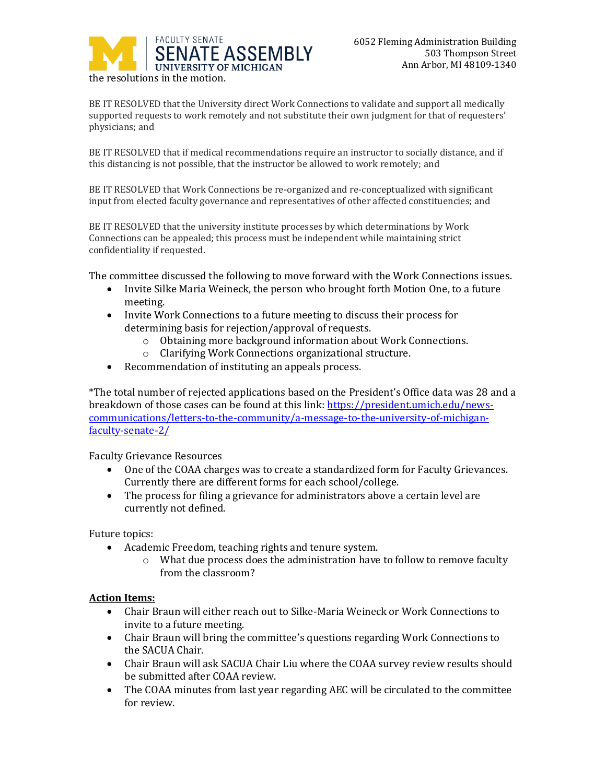

BE IT RESOLVED that the University direct Work Connections to validate and support all medically supported requests to work remotely and not substitute their own judgment for that of requesters' physicians; and

BE IT RESOLVED that if medical recommendations require an instructor to socially distance, and if this distancing is not possible, that the instructor be allowed to work remotely; and

BE IT RESOLVED that Work Connections be re-organized and re-conceptualized with significant input from elected faculty governance and representatives of other affected constituencies; and

BE IT RESOLVED that the university institute processes by which determinations by Work Connections can be appealed; this process must be independent while maintaining strict confidentiality if requested.

The committee discussed the following to move forward with the Work Connections issues.

- Invite Silke Maria Weineck, the person who brought forth Motion One, to a future meeting.
- Invite Work Connections to a future meeting to discuss their process for determining basis for rejection/approval of requests.
	- o Obtaining more background information about Work Connections.
	- o Clarifying Work Connections organizational structure.
- Recommendation of instituting an appeals process.

\*The total number of rejected applications based on the President's Office data was 28 and a breakdown of those cases can be found at this link[: https://president.umich.edu/news](https://president.umich.edu/news-communications/letters-to-the-community/a-message-to-the-university-of-michigan-faculty-senate-2/)[communications/letters-to-the-community/a-message-to-the-university-of-michigan](https://president.umich.edu/news-communications/letters-to-the-community/a-message-to-the-university-of-michigan-faculty-senate-2/)[faculty-senate-2/](https://president.umich.edu/news-communications/letters-to-the-community/a-message-to-the-university-of-michigan-faculty-senate-2/)

Faculty Grievance Resources

- One of the COAA charges was to create a standardized form for Faculty Grievances. Currently there are different forms for each school/college.
- The process for filing a grievance for administrators above a certain level are currently not defined.

Future topics:

- Academic Freedom, teaching rights and tenure system.
	- o What due process does the administration have to follow to remove faculty from the classroom?

## **Action Items:**

- Chair Braun will either reach out to Silke-Maria Weineck or Work Connections to invite to a future meeting.
- Chair Braun will bring the committee's questions regarding Work Connections to the SACUA Chair.
- Chair Braun will ask SACUA Chair Liu where the COAA survey review results should be submitted after COAA review.
- The COAA minutes from last year regarding AEC will be circulated to the committee for review.